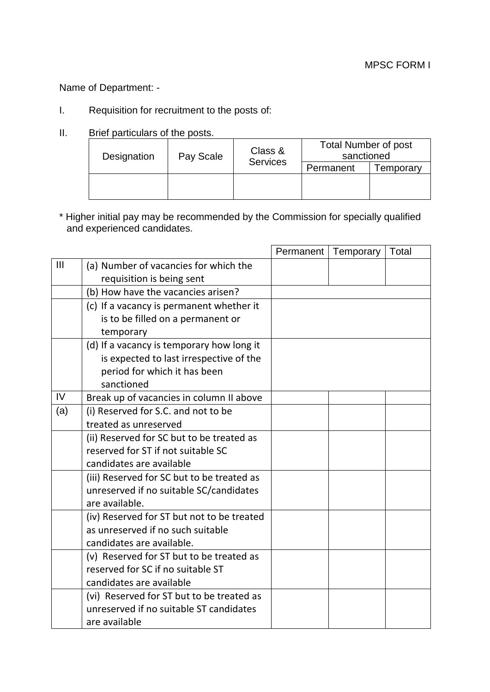Name of Department: -

- I. Requisition for recruitment to the posts of:
- II. Brief particulars of the posts.

| Designation | Class &<br>Pay Scale<br><b>Services</b> | <b>Total Number of post</b><br>sanctioned |           |
|-------------|-----------------------------------------|-------------------------------------------|-----------|
|             |                                         | Permanent                                 | Femporary |
|             |                                         |                                           |           |
|             |                                         |                                           |           |

\* Higher initial pay may be recommended by the Commission for specially qualified and experienced candidates.

|     |                                            | Permanent | Temporary | Total |
|-----|--------------------------------------------|-----------|-----------|-------|
| Ш   | (a) Number of vacancies for which the      |           |           |       |
|     | requisition is being sent                  |           |           |       |
|     | (b) How have the vacancies arisen?         |           |           |       |
|     | (c) If a vacancy is permanent whether it   |           |           |       |
|     | is to be filled on a permanent or          |           |           |       |
|     | temporary                                  |           |           |       |
|     | (d) If a vacancy is temporary how long it  |           |           |       |
|     | is expected to last irrespective of the    |           |           |       |
|     | period for which it has been               |           |           |       |
|     | sanctioned                                 |           |           |       |
| IV  | Break up of vacancies in column II above   |           |           |       |
| (a) | (i) Reserved for S.C. and not to be        |           |           |       |
|     | treated as unreserved                      |           |           |       |
|     | (ii) Reserved for SC but to be treated as  |           |           |       |
|     | reserved for ST if not suitable SC         |           |           |       |
|     | candidates are available                   |           |           |       |
|     | (iii) Reserved for SC but to be treated as |           |           |       |
|     | unreserved if no suitable SC/candidates    |           |           |       |
|     | are available.                             |           |           |       |
|     | (iv) Reserved for ST but not to be treated |           |           |       |
|     | as unreserved if no such suitable          |           |           |       |
|     | candidates are available.                  |           |           |       |
|     | (v) Reserved for ST but to be treated as   |           |           |       |
|     | reserved for SC if no suitable ST          |           |           |       |
|     | candidates are available                   |           |           |       |
|     | (vi) Reserved for ST but to be treated as  |           |           |       |
|     | unreserved if no suitable ST candidates    |           |           |       |
|     | are available                              |           |           |       |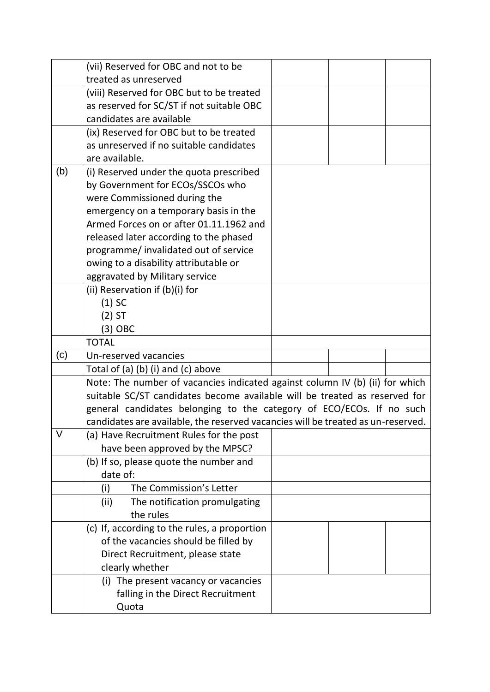|     | (vii) Reserved for OBC and not to be                                             |  |  |
|-----|----------------------------------------------------------------------------------|--|--|
|     | treated as unreserved                                                            |  |  |
|     | (viii) Reserved for OBC but to be treated                                        |  |  |
|     | as reserved for SC/ST if not suitable OBC                                        |  |  |
|     | candidates are available                                                         |  |  |
|     | (ix) Reserved for OBC but to be treated                                          |  |  |
|     | as unreserved if no suitable candidates                                          |  |  |
|     | are available.                                                                   |  |  |
| (b) | (i) Reserved under the quota prescribed                                          |  |  |
|     | by Government for ECOs/SSCOs who                                                 |  |  |
|     | were Commissioned during the                                                     |  |  |
|     | emergency on a temporary basis in the                                            |  |  |
|     | Armed Forces on or after 01.11.1962 and                                          |  |  |
|     | released later according to the phased                                           |  |  |
|     | programme/ invalidated out of service                                            |  |  |
|     | owing to a disability attributable or                                            |  |  |
|     | aggravated by Military service                                                   |  |  |
|     | (ii) Reservation if (b)(i) for                                                   |  |  |
|     | $(1)$ SC                                                                         |  |  |
|     | $(2)$ ST                                                                         |  |  |
|     | (3) OBC                                                                          |  |  |
|     | <b>TOTAL</b>                                                                     |  |  |
| (c) | Un-reserved vacancies                                                            |  |  |
|     | Total of $(a)$ $(b)$ $(i)$ and $(c)$ above                                       |  |  |
|     | Note: The number of vacancies indicated against column IV (b) (ii) for which     |  |  |
|     | suitable SC/ST candidates become available will be treated as reserved for       |  |  |
|     | general candidates belonging to the category of ECO/ECOs. If no such             |  |  |
|     | candidates are available, the reserved vacancies will be treated as un-reserved. |  |  |
| V   | (a) Have Recruitment Rules for the post                                          |  |  |
|     | have been approved by the MPSC?                                                  |  |  |
|     | (b) If so, please quote the number and                                           |  |  |
|     | date of:                                                                         |  |  |
|     | The Commission's Letter<br>(i)                                                   |  |  |
|     | (ii)<br>The notification promulgating                                            |  |  |
|     | the rules                                                                        |  |  |
|     | (c) If, according to the rules, a proportion                                     |  |  |
|     | of the vacancies should be filled by                                             |  |  |
|     | Direct Recruitment, please state                                                 |  |  |
|     | clearly whether                                                                  |  |  |
|     | (i) The present vacancy or vacancies                                             |  |  |
|     | falling in the Direct Recruitment                                                |  |  |
|     | Quota                                                                            |  |  |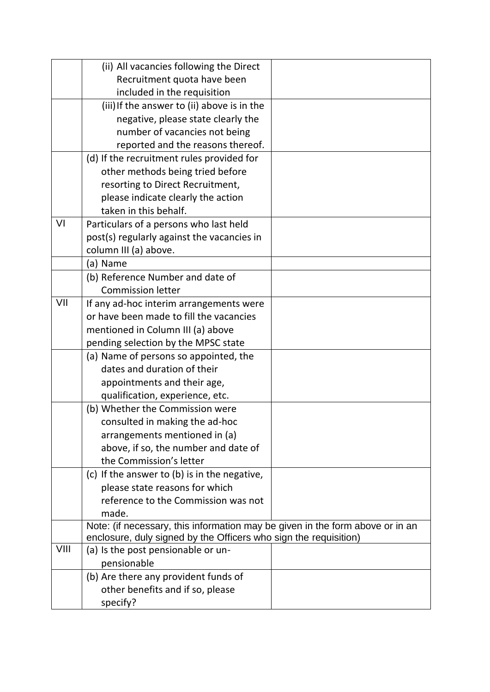|      | (ii) All vacancies following the Direct                                       |  |
|------|-------------------------------------------------------------------------------|--|
|      | Recruitment quota have been                                                   |  |
|      | included in the requisition                                                   |  |
|      | (iii) If the answer to (ii) above is in the                                   |  |
|      | negative, please state clearly the                                            |  |
|      | number of vacancies not being                                                 |  |
|      | reported and the reasons thereof.                                             |  |
|      | (d) If the recruitment rules provided for                                     |  |
|      | other methods being tried before                                              |  |
|      | resorting to Direct Recruitment,                                              |  |
|      | please indicate clearly the action                                            |  |
|      | taken in this behalf.                                                         |  |
| VI   | Particulars of a persons who last held                                        |  |
|      | post(s) regularly against the vacancies in                                    |  |
|      | column III (a) above.                                                         |  |
|      | (a) Name                                                                      |  |
|      | (b) Reference Number and date of                                              |  |
|      | <b>Commission letter</b>                                                      |  |
| VII  | If any ad-hoc interim arrangements were                                       |  |
|      | or have been made to fill the vacancies                                       |  |
|      | mentioned in Column III (a) above                                             |  |
|      | pending selection by the MPSC state                                           |  |
|      | (a) Name of persons so appointed, the                                         |  |
|      | dates and duration of their                                                   |  |
|      | appointments and their age,                                                   |  |
|      | qualification, experience, etc.                                               |  |
|      | (b) Whether the Commission were                                               |  |
|      | consulted in making the ad-hoc                                                |  |
|      | arrangements mentioned in (a)                                                 |  |
|      | above, if so, the number and date of                                          |  |
|      | the Commission's letter                                                       |  |
|      | (c) If the answer to $(b)$ is in the negative,                                |  |
|      | please state reasons for which                                                |  |
|      | reference to the Commission was not                                           |  |
|      | made.                                                                         |  |
|      | Note: (if necessary, this information may be given in the form above or in an |  |
|      | enclosure, duly signed by the Officers who sign the requisition)              |  |
| VIII | (a) Is the post pensionable or un-                                            |  |
|      | pensionable                                                                   |  |
|      | (b) Are there any provident funds of                                          |  |
|      | other benefits and if so, please                                              |  |
|      | specify?                                                                      |  |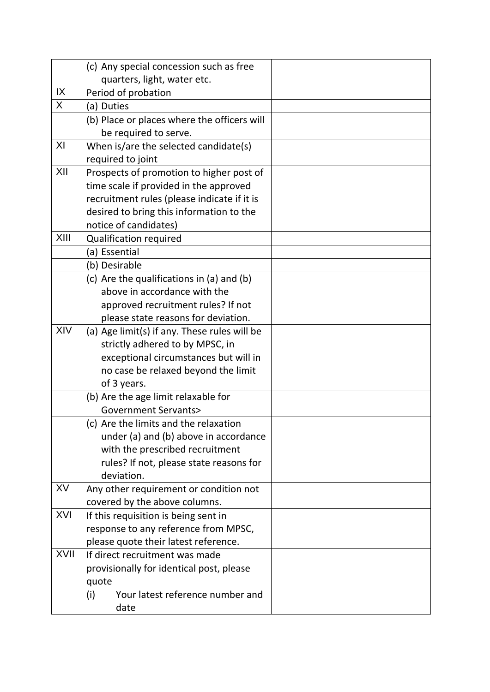|      | (c) Any special concession such as free                                        |  |
|------|--------------------------------------------------------------------------------|--|
|      | quarters, light, water etc.                                                    |  |
| IX   | Period of probation                                                            |  |
| X    | (a) Duties                                                                     |  |
|      | (b) Place or places where the officers will                                    |  |
|      | be required to serve.                                                          |  |
| XI   | When is/are the selected candidate(s)                                          |  |
|      | required to joint                                                              |  |
| XII  | Prospects of promotion to higher post of                                       |  |
|      | time scale if provided in the approved                                         |  |
|      | recruitment rules (please indicate if it is                                    |  |
|      | desired to bring this information to the                                       |  |
|      | notice of candidates)                                                          |  |
| XIII | <b>Qualification required</b>                                                  |  |
|      | (a) Essential                                                                  |  |
|      | (b) Desirable                                                                  |  |
|      | (c) Are the qualifications in (a) and (b)                                      |  |
|      | above in accordance with the                                                   |  |
|      | approved recruitment rules? If not                                             |  |
|      | please state reasons for deviation.                                            |  |
| XIV  | (a) Age limit(s) if any. These rules will be                                   |  |
|      | strictly adhered to by MPSC, in                                                |  |
|      | exceptional circumstances but will in                                          |  |
|      | no case be relaxed beyond the limit                                            |  |
|      | of 3 years.                                                                    |  |
|      | (b) Are the age limit relaxable for                                            |  |
|      | <b>Government Servants&gt;</b>                                                 |  |
|      | (c) Are the limits and the relaxation<br>under (a) and (b) above in accordance |  |
|      | with the prescribed recruitment                                                |  |
|      | rules? If not, please state reasons for                                        |  |
|      | deviation.                                                                     |  |
| XV   | Any other requirement or condition not                                         |  |
|      | covered by the above columns.                                                  |  |
| XVI  | If this requisition is being sent in                                           |  |
|      | response to any reference from MPSC,                                           |  |
|      | please quote their latest reference.                                           |  |
| XVII | If direct recruitment was made                                                 |  |
|      | provisionally for identical post, please                                       |  |
|      | quote                                                                          |  |
|      | Your latest reference number and<br>(i)                                        |  |
|      | date                                                                           |  |